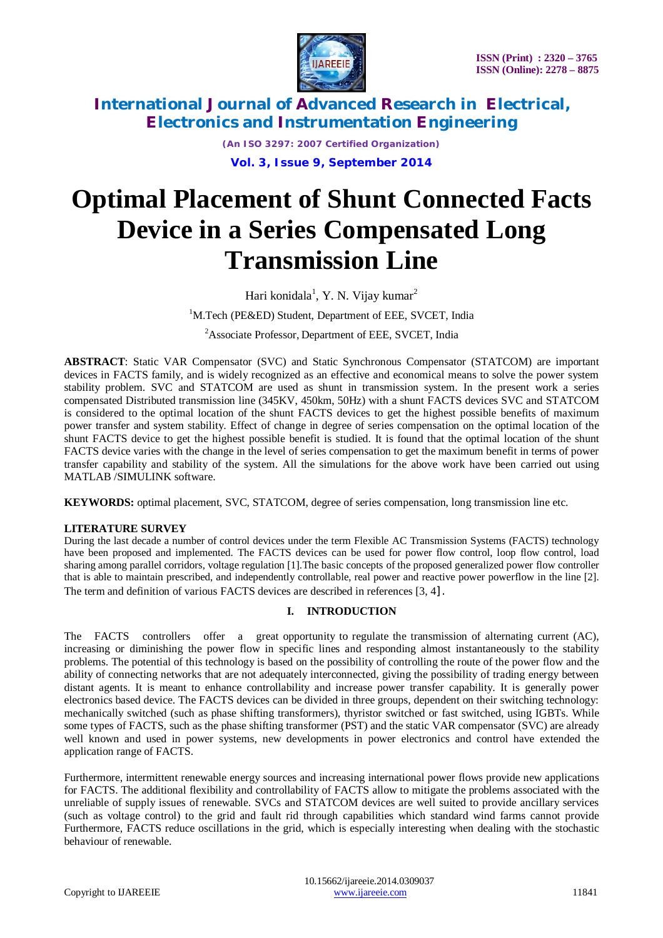

*(An ISO 3297: 2007 Certified Organization)* **Vol. 3, Issue 9, September 2014**

# **Optimal Placement of Shunt Connected Facts Device in a Series Compensated Long Transmission Line**

Hari konidala $^1$ , Y. N. Vijay kumar $^2$ 

<sup>1</sup>M.Tech (PE&ED) Student, Department of EEE, SVCET, India

<sup>2</sup>Associate Professor, Department of EEE, SVCET, India

**ABSTRACT**: Static VAR Compensator (SVC) and Static Synchronous Compensator (STATCOM) are important devices in FACTS family, and is widely recognized as an effective and economical means to solve the power system stability problem. SVC and STATCOM are used as shunt in transmission system. In the present work a series compensated Distributed transmission line (345KV, 450km, 50Hz) with a shunt FACTS devices SVC and STATCOM is considered to the optimal location of the shunt FACTS devices to get the highest possible benefits of maximum power transfer and system stability. Effect of change in degree of series compensation on the optimal location of the shunt FACTS device to get the highest possible benefit is studied. It is found that the optimal location of the shunt FACTS device varies with the change in the level of series compensation to get the maximum benefit in terms of power transfer capability and stability of the system. All the simulations for the above work have been carried out using MATLAB /SIMULINK software.

**KEYWORDS:** optimal placement, SVC, STATCOM, degree of series compensation, long transmission line etc.

### **LITERATURE SURVEY**

During the last decade a number of control devices under the term Flexible AC Transmission Systems (FACTS) technology have been proposed and implemented. The FACTS devices can be used for power flow control, loop flow control, load sharing among parallel corridors, voltage regulation [1].The basic concepts of the proposed generalized power flow controller that is able to maintain prescribed, and independently controllable, real power and reactive power powerflow in the line [2]. The term and definition of various FACTS devices are described in references [3, 4].

### **I. INTRODUCTION**

The FACTS controllers offer a great opportunity to regulate the transmission of alternating current (AC), increasing or diminishing the power flow in specific lines and responding almost instantaneously to the stability problems. The potential of this technology is based on the possibility of controlling the route of the power flow and the ability of connecting networks that are not adequately interconnected, giving the possibility of trading energy between distant agents. It is meant to enhance controllability and increase power transfer capability. It is generally power electronics based device. The FACTS devices can be divided in three groups, dependent on their switching technology: mechanically switched (such as phase shifting transformers), thyristor switched or fast switched, using IGBTs. While some types of FACTS, such as the phase shifting transformer (PST) and the static VAR compensator (SVC) are already well known and used in power systems, new developments in power electronics and control have extended the application range of FACTS.

Furthermore, intermittent renewable energy sources and increasing international power flows provide new applications for FACTS. The additional flexibility and controllability of FACTS allow to mitigate the problems associated with the unreliable of supply issues of renewable. SVCs and STATCOM devices are well suited to provide ancillary services (such as voltage control) to the grid and fault rid through capabilities which standard wind farms cannot provide Furthermore, FACTS reduce oscillations in the grid, which is especially interesting when dealing with the stochastic behaviour of renewable.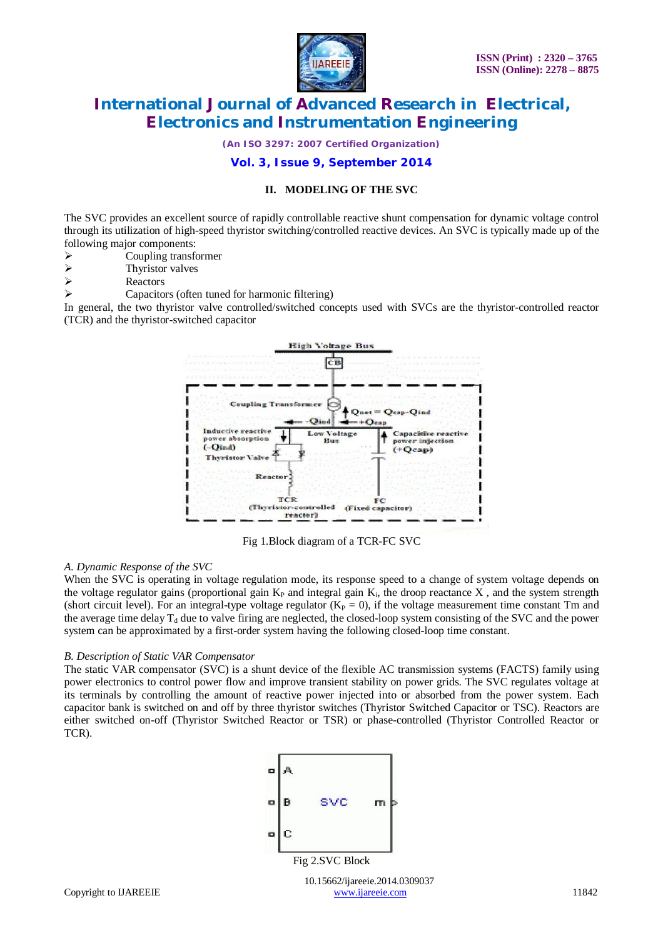

*(An ISO 3297: 2007 Certified Organization)*

### **Vol. 3, Issue 9, September 2014**

### **II. MODELING OF THE SVC**

The SVC provides an excellent source of rapidly controllable reactive shunt compensation for dynamic voltage control through its utilization of high-speed thyristor switching/controlled reactive devices. An SVC is typically made up of the following major components:

- $\triangleright$  Coupling transformer<br> $\triangleright$  Thyristor valves
- Thyristor valves
- $\triangleright$  Reactors
- Capacitors (often tuned for harmonic filtering)

In general, the two thyristor valve controlled/switched concepts used with SVCs are the thyristor-controlled reactor (TCR) and the thyristor-switched capacitor



Fig 1.Block diagram of a TCR-FC SVC

#### *A. Dynamic Response of the SVC*

When the SVC is operating in voltage regulation mode, its response speed to a change of system voltage depends on the voltage regulator gains (proportional gain  $K_P$  and integral gain  $K_i$ , the droop reactance X, and the system strength (short circuit level). For an integral-type voltage regulator  $(K_P = 0)$ , if the voltage measurement time constant Tm and the average time delay  $T_d$  due to valve firing are neglected, the closed-loop system consisting of the SVC and the power system can be approximated by a first-order system having the following closed-loop time constant.

#### *B. Description of Static VAR Compensator*

The static VAR compensator (SVC) is a shunt device of the flexible AC transmission systems (FACTS) family using power electronics to control power flow and improve transient stability on power grids. The SVC regulates voltage at its terminals by controlling the amount of reactive power injected into or absorbed from the power system. Each capacitor bank is switched on and off by three thyristor switches (Thyristor Switched Capacitor or TSC). Reactors are either switched on-off (Thyristor Switched Reactor or TSR) or phase-controlled (Thyristor Controlled Reactor or TCR).



10.15662/ijareeie.2014.0309037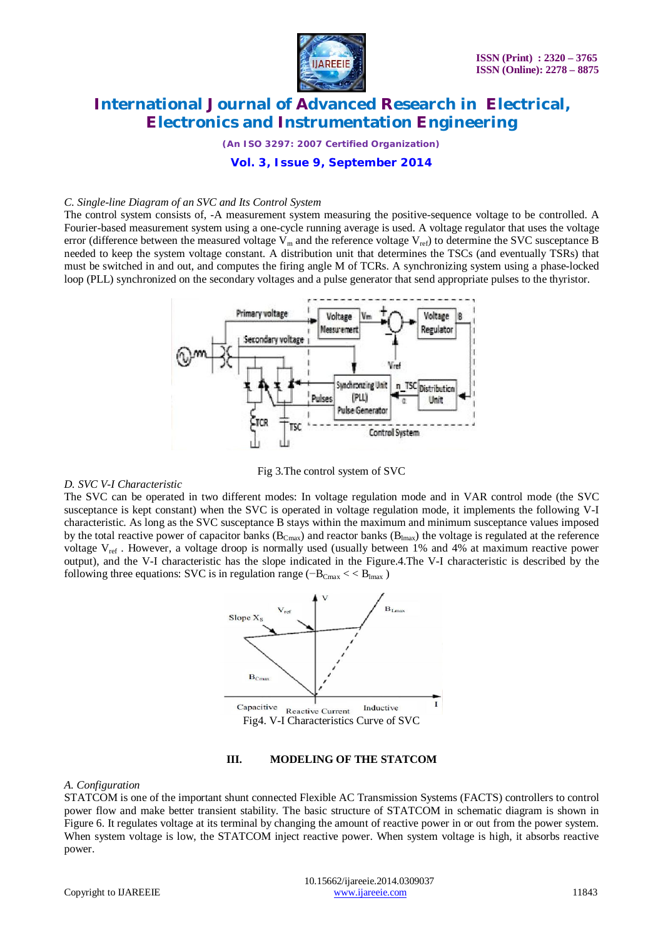

*(An ISO 3297: 2007 Certified Organization)*

### **Vol. 3, Issue 9, September 2014**

#### *C. Single-line Diagram of an SVC and Its Control System*

The control system consists of, -A measurement system measuring the positive-sequence voltage to be controlled. A Fourier-based measurement system using a one-cycle running average is used. A voltage regulator that uses the voltage error (difference between the measured voltage  $V_m$  and the reference voltage  $V_{ref}$ ) to determine the SVC susceptance B needed to keep the system voltage constant. A distribution unit that determines the TSCs (and eventually TSRs) that must be switched in and out, and computes the firing angle M of TCRs. A synchronizing system using a phase-locked loop (PLL) synchronized on the secondary voltages and a pulse generator that send appropriate pulses to the thyristor.



Fig 3.The control system of SVC

#### *D. SVC V-I Characteristic*

The SVC can be operated in two different modes: In voltage regulation mode and in VAR control mode (the SVC susceptance is kept constant) when the SVC is operated in voltage regulation mode, it implements the following V-I characteristic. As long as the SVC susceptance B stays within the maximum and minimum susceptance values imposed by the total reactive power of capacitor banks  $(B_{Cmax})$  and reactor banks  $(B_{Lmax})$  the voltage is regulated at the reference voltage  $V_{ref}$ . However, a voltage droop is normally used (usually between 1% and 4% at maximum reactive power output), and the V-I characteristic has the slope indicated in the Figure.4.The V-I characteristic is described by the following three equations: SVC is in regulation range ( $-B<sub>Cmax</sub>$  <  $B<sub>lmax</sub>$ )



#### **III. MODELING OF THE STATCOM**

#### *A. Configuration*

STATCOM is one of the important shunt connected Flexible AC Transmission Systems (FACTS) controllers to control power flow and make better transient stability. The basic structure of STATCOM in schematic diagram is shown in Figure 6. It regulates voltage at its terminal by changing the amount of reactive power in or out from the power system. When system voltage is low, the STATCOM inject reactive power. When system voltage is high, it absorbs reactive power.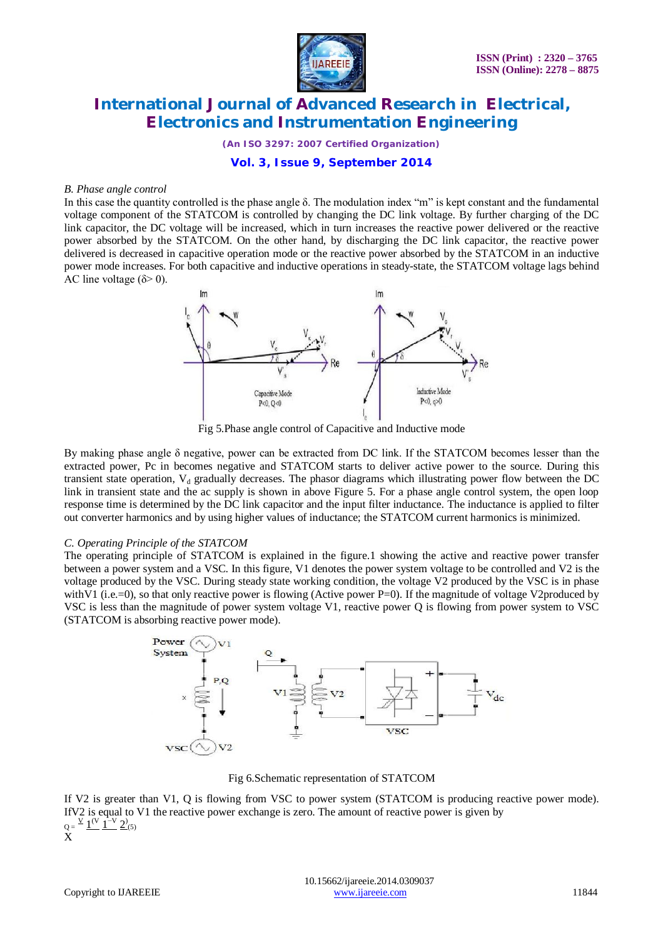

*(An ISO 3297: 2007 Certified Organization)*

### **Vol. 3, Issue 9, September 2014**

#### *B. Phase angle control*

In this case the quantity controlled is the phase angle  $\delta$ . The modulation index "m" is kept constant and the fundamental voltage component of the STATCOM is controlled by changing the DC link voltage. By further charging of the DC link capacitor, the DC voltage will be increased, which in turn increases the reactive power delivered or the reactive power absorbed by the STATCOM. On the other hand, by discharging the DC link capacitor, the reactive power delivered is decreased in capacitive operation mode or the reactive power absorbed by the STATCOM in an inductive power mode increases. For both capacitive and inductive operations in steady-state, the STATCOM voltage lags behind AC line voltage ( $\delta$  > 0).



Fig 5.Phase angle control of Capacitive and Inductive mode

By making phase angle δ negative, power can be extracted from DC link. If the STATCOM becomes lesser than the extracted power, Pc in becomes negative and STATCOM starts to deliver active power to the source. During this transient state operation,  $V_d$  gradually decreases. The phasor diagrams which illustrating power flow between the DC link in transient state and the ac supply is shown in above Figure 5. For a phase angle control system, the open loop response time is determined by the DC link capacitor and the input filter inductance. The inductance is applied to filter out converter harmonics and by using higher values of inductance; the STATCOM current harmonics is minimized.

#### *C. Operating Principle of the STATCOM*

The operating principle of STATCOM is explained in the figure.1 showing the active and reactive power transfer between a power system and a VSC. In this figure, V1 denotes the power system voltage to be controlled and V2 is the voltage produced by the VSC. During steady state working condition, the voltage V2 produced by the VSC is in phase with V1 (i.e.=0), so that only reactive power is flowing (Active power P=0). If the magnitude of voltage V2produced by VSC is less than the magnitude of power system voltage V1, reactive power Q is flowing from power system to VSC (STATCOM is absorbing reactive power mode).



Fig 6.Schematic representation of STATCOM

If V2 is greater than V1, Q is flowing from VSC to power system (STATCOM is producing reactive power mode). IfV2 is equal to V1 the reactive power exchange is zero. The amount of reactive power is given by  $\Omega$  =  $\frac{v}{1} \frac{1^{\mathrm{(V)}}}{1} \frac{1^{\mathrm{-V}}}{2}$   $\frac{2^{\mathrm{(5)}}}{2}$ X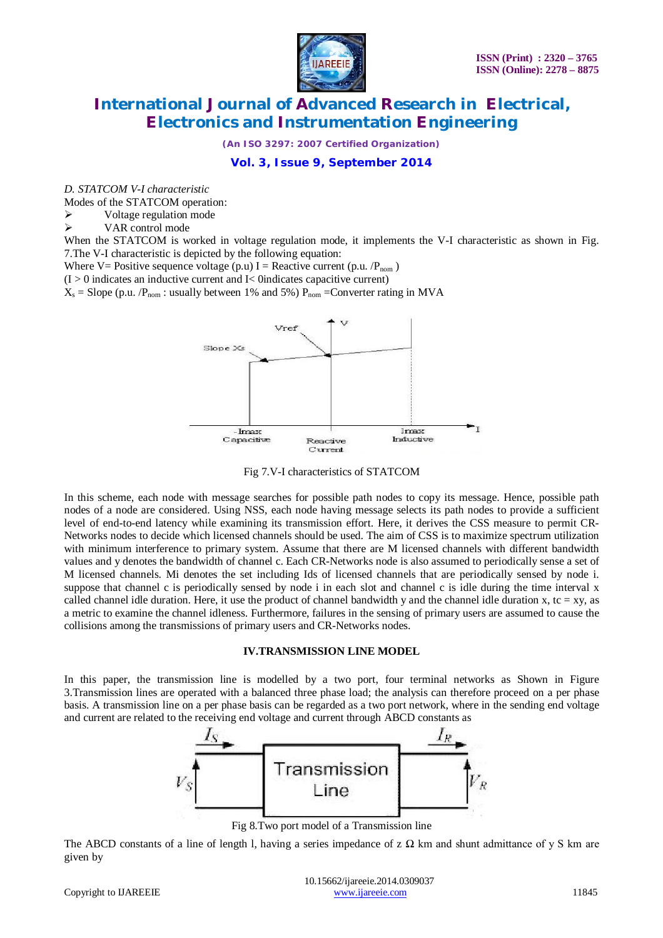

*(An ISO 3297: 2007 Certified Organization)*

**Vol. 3, Issue 9, September 2014**

*D. STATCOM V-I characteristic*

Modes of the STATCOM operation:

 $\triangleright$  Voltage regulation mode

VAR control mode

When the STATCOM is worked in voltage regulation mode, it implements the V-I characteristic as shown in Fig. 7.The V-I characteristic is depicted by the following equation:

Where V= Positive sequence voltage (p.u) I = Reactive current (p.u.  $/P_{nom}$ )

 $(I > 0$  indicates an inductive current and I< 0indicates capacitive current)

 $X_s$  = Slope (p.u. / $P_{nom}$ : usually between 1% and 5%)  $P_{nom}$  = Converter rating in MVA



Fig 7.V-I characteristics of STATCOM

In this scheme, each node with message searches for possible path nodes to copy its message. Hence, possible path nodes of a node are considered. Using NSS, each node having message selects its path nodes to provide a sufficient level of end-to-end latency while examining its transmission effort. Here, it derives the CSS measure to permit CR-Networks nodes to decide which licensed channels should be used. The aim of CSS is to maximize spectrum utilization with minimum interference to primary system. Assume that there are M licensed channels with different bandwidth values and y denotes the bandwidth of channel c. Each CR-Networks node is also assumed to periodically sense a set of M licensed channels. Mi denotes the set including Ids of licensed channels that are periodically sensed by node i. suppose that channel c is periodically sensed by node i in each slot and channel c is idle during the time interval x called channel idle duration. Here, it use the product of channel bandwidth y and the channel idle duration x, tc = xy, as a metric to examine the channel idleness. Furthermore, failures in the sensing of primary users are assumed to cause the collisions among the transmissions of primary users and CR-Networks nodes.

#### **IV.TRANSMISSION LINE MODEL**

In this paper, the transmission line is modelled by a two port, four terminal networks as Shown in Figure 3.Transmission lines are operated with a balanced three phase load; the analysis can therefore proceed on a per phase basis. A transmission line on a per phase basis can be regarded as a two port network, where in the sending end voltage and current are related to the receiving end voltage and current through ABCD constants as



Fig 8.Two port model of a Transmission line

The ABCD constants of a line of length l, having a series impedance of z  $\Omega$  km and shunt admittance of y S km are given by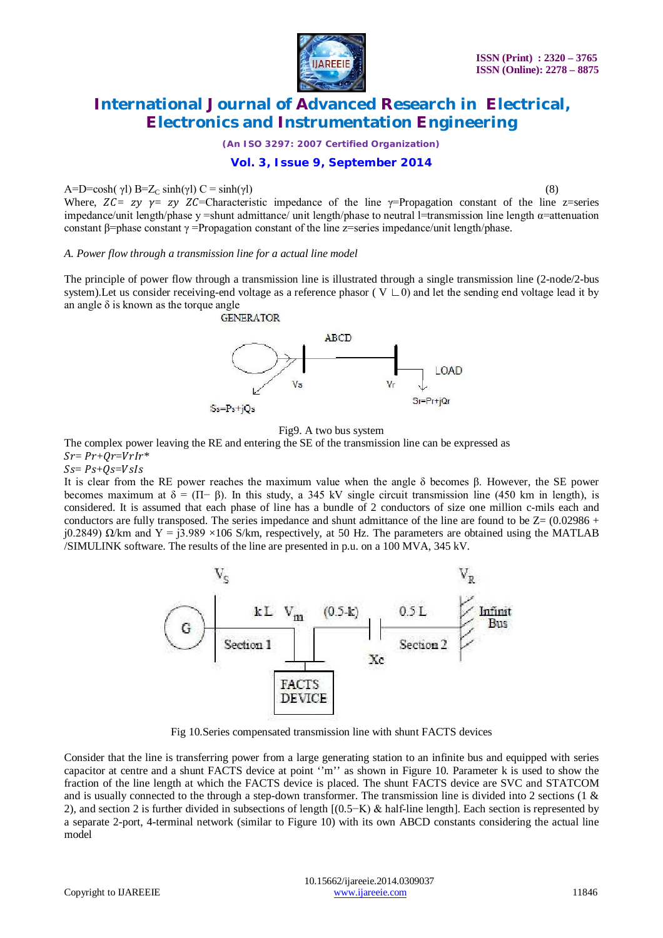

*(An ISO 3297: 2007 Certified Organization)*

### **Vol. 3, Issue 9, September 2014**

### $A=D=\cosh(\gamma I) B=Z_C \sinh(\gamma I) C=\sinh(\gamma I)$  (8)

Where,  $Z\mathcal{C} = z\mathcal{V} = z\mathcal{V} Z\mathcal{C}$ =Characteristic impedance of the line  $\gamma$ =Propagation constant of the line z=series impedance/unit length/phase y =shunt admittance/ unit length/phase to neutral l=transmission line length  $\alpha$ =attenuation constant β=phase constant  $\gamma$  =Propagation constant of the line z=series impedance/unit length/phase.

#### *A. Power flow through a transmission line for a actual line model*

The principle of power flow through a transmission line is illustrated through a single transmission line (2-node/2-bus system). Let us consider receiving-end voltage as a reference phasor ( $V \cup 0$ ) and let the sending end voltage lead it by an angle  $\delta$  is known as the torque angle<br>GENERATOR



Fig9. A two bus system

The complex power leaving the RE and entering the SE of the transmission line can be expressed as  $Sr = Pr + Qr = VrIr*$ 

#### $Ss = Ps + Os = Vsls$

It is clear from the RE power reaches the maximum value when the angle δ becomes β. However, the SE power becomes maximum at  $\delta = (\Pi - \beta)$ . In this study, a 345 kV single circuit transmission line (450 km in length), is considered. It is assumed that each phase of line has a bundle of 2 conductors of size one million c-mils each and conductors are fully transposed. The series impedance and shunt admittance of the line are found to be  $Z=(0.02986 +$ j0.2849)  $\Omega$ /km and Y = j3.989 ×106 S/km, respectively, at 50 Hz. The parameters are obtained using the MATLAB /SIMULINK software. The results of the line are presented in p.u. on a 100 MVA, 345 kV.



Fig 10.Series compensated transmission line with shunt FACTS devices

Consider that the line is transferring power from a large generating station to an infinite bus and equipped with series capacitor at centre and a shunt FACTS device at point ''m'' as shown in Figure 10. Parameter k is used to show the fraction of the line length at which the FACTS device is placed. The shunt FACTS device are SVC and STATCOM and is usually connected to the through a step-down transformer. The transmission line is divided into 2 sections (1  $\&$ 2), and section 2 is further divided in subsections of length [(0.5−K) & half-line length]. Each section is represented by a separate 2-port, 4-terminal network (similar to Figure 10) with its own ABCD constants considering the actual line model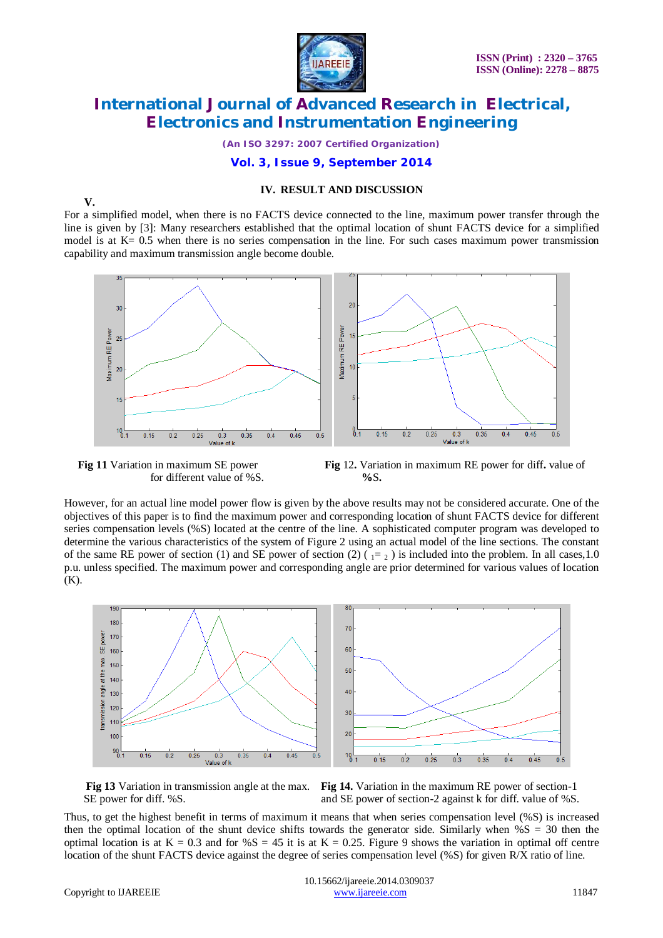

*(An ISO 3297: 2007 Certified Organization)*

### **Vol. 3, Issue 9, September 2014**

### **IV. RESULT AND DISCUSSION**

**V.**

For a simplified model, when there is no FACTS device connected to the line, maximum power transfer through the line is given by [3]: Many researchers established that the optimal location of shunt FACTS device for a simplified model is at K= 0.5 when there is no series compensation in the line. For such cases maximum power transmission capability and maximum transmission angle become double.



for different value of %S. **%**S**.**



However, for an actual line model power flow is given by the above results may not be considered accurate. One of the objectives of this paper is to find the maximum power and corresponding location of shunt FACTS device for different series compensation levels (%S) located at the centre of the line. A sophisticated computer program was developed to determine the various characteristics of the system of Figure 2 using an actual model of the line sections. The constant of the same RE power of section (1) and SE power of section (2)  $\left(1 = 2\right)$  is included into the problem. In all cases, 1.0 p.u. unless specified. The maximum power and corresponding angle are prior determined for various values of location (K).





SE power for diff. %S.  $\qquad \qquad \text{and } \text{SE}$  power of section-2 against k for diff. value of %S.

Thus, to get the highest benefit in terms of maximum it means that when series compensation level (%S) is increased then the optimal location of the shunt device shifts towards the generator side. Similarly when  $\%S = 30$  then the optimal location is at  $K = 0.3$  and for  $\%S = 45$  it is at  $K = 0.25$ . Figure 9 shows the variation in optimal off centre location of the shunt FACTS device against the degree of series compensation level (%S) for given R/X ratio of line.